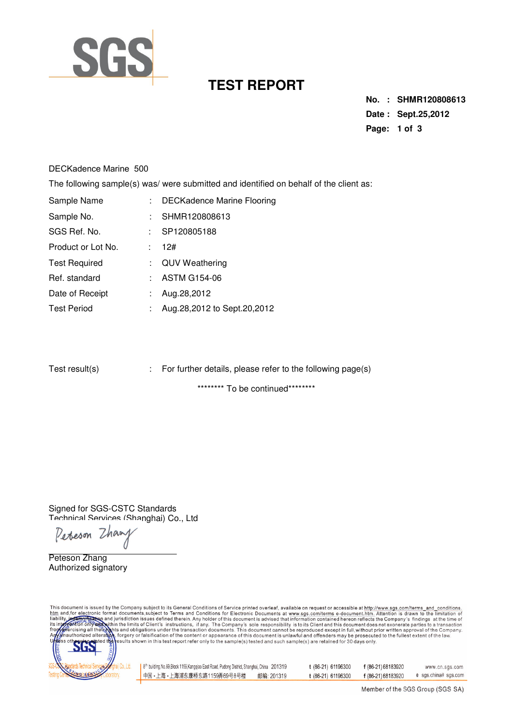

## **TEST REPORT**

**No. : SHMR120808613 Date : Sept.25,2012 Page: 1 of 3** 

## DECKadence Marine 500

The following sample(s) was/ were submitted and identified on behalf of the client as:

| Sample Name          | ÷. | <b>DECKadence Marine Flooring</b> |
|----------------------|----|-----------------------------------|
| Sample No.           |    | SHMR120808613                     |
| SGS Ref. No.         | t. | SP120805188                       |
| Product or Lot No.   | ÷. | 12#                               |
| <b>Test Required</b> |    | : QUV Weathering                  |
| Ref. standard        |    | $:$ ASTM G154-06                  |
| Date of Receipt      |    | Aug.28,2012                       |
| <b>Test Period</b>   |    | Aug.28,2012 to Sept.20,2012       |

| Test result(s) |  | : For further details, please refer to the following page(s) |
|----------------|--|--------------------------------------------------------------|
|----------------|--|--------------------------------------------------------------|

\*\*\*\*\*\*\*\*\* To be continued\*\*\*\*\*\*\*\*\*

Signed for SGS-CSTC Standards Technical Services (Shanghai) Co., Ltd

Perseson Zhany

Peteson Zhang Authorized signatory

This document is issued by the Company subject to its General Conditions of Service printed overleaf, available on request or accessible at http://www.sgs.com/terms\_and\_conditions<br>htm\_and,for electronic format documents,su



| 8 <sup>th</sup> building, No.69, Block 1159, Kangqiao East Road, Pudong District, Shanghai, China 201319 |            | t (86-21) 61196300 | f (86-21) 68183920 | www.cn.sgs.com      |
|----------------------------------------------------------------------------------------------------------|------------|--------------------|--------------------|---------------------|
| ┃中国・上海・上海浦东康桥东路1159弄69号8号楼                                                                               | 邮编: 201319 | t (86-21) 61196300 | f (86-21) 68183920 | e sgs.china@sgs.com |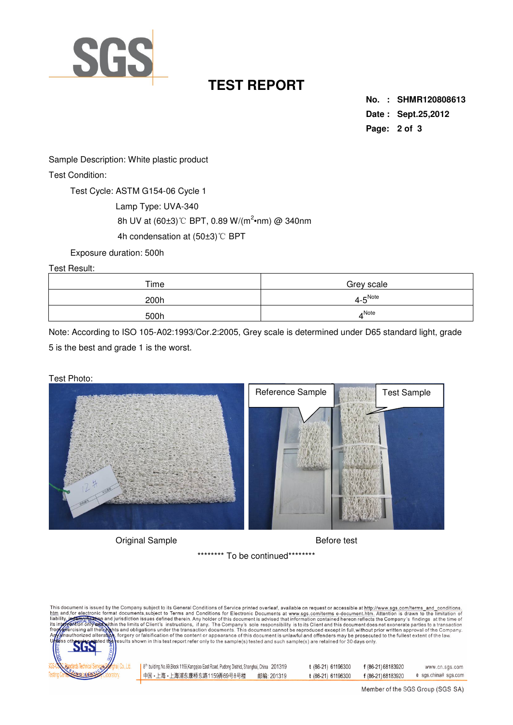

## **TEST REPORT**

**No. : SHMR120808613 Date : Sept.25,2012 Page: 2 of 3** 

Sample Description: White plastic product

Test Condition:

Test Cycle: ASTM G154-06 Cycle 1

Lamp Type: UVA-340

8h UV at (60±3)℃ BPT, 0.89 W/(m<sup>2</sup>•nm) @ 340nm

4h condensation at (50±3)℃ BPT

Exposure duration: 500h

Test Result:

| Time | Grey scale                 |
|------|----------------------------|
| 200h | $4\text{-}5^\mathsf{Note}$ |
| 500h | ANote                      |

Note: According to ISO 105-A02:1993/Cor.2:2005, Grey scale is determined under D65 standard light, grade 5 is the best and grade 1 is the worst.





Original Sample **Before** test

\*\*\*\*\*\*\*\*\* To be continued\*\*\*\*\*\*\*\*\*

This document is issued by the Company subject to its General Conditions of Service printed overleaf, available on request or accessible at http://www.sgs.com/terms\_and\_conditions<br>htm\_and,for electronic format documents,su



| 8 <sup>th</sup> building, No.69, Block 1159, Kangqiao East Road, Pudong District, Shanghai, China 201319 |            | t (86-21) 61196300 | f (86-21) 68183920 | www.cn.sgs.com       |
|----------------------------------------------------------------------------------------------------------|------------|--------------------|--------------------|----------------------|
| ┃中国・上海・上海浦东康桥东路1159弄69号8号楼                                                                               | 邮编: 201319 | t (86-21) 61196300 | f (86-21) 68183920 | e sgs.china@ sgs.com |